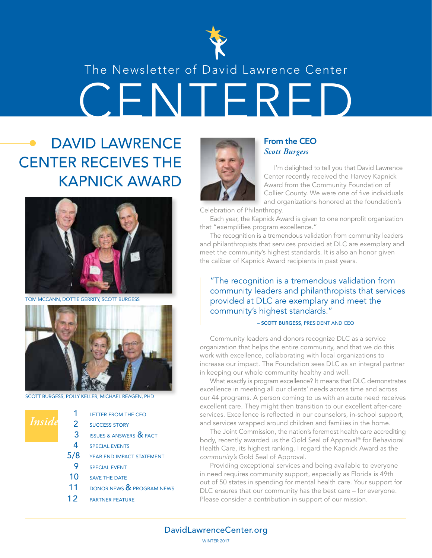

### The Newsletter of David Lawrence Center

YENTER

# DAVID LAWRENCE CENTER RECEIVES THE KAPNICK AWARD



TOM MCCANN, DOTTIE GERRITY, SCOTT BURGESS



SCOTT BURGESS, POLLY KELLER, MICHAEL REAGEN, PHD

*Insid* 

| 1   | <b>LETTER FROM THE CEO</b>             |
|-----|----------------------------------------|
| 2   | <b>SUCCESS STORY</b>                   |
| 3   | <b>ISSUES &amp; ANSWERS &amp; FACT</b> |
| 4   | <b>SPECIAL EVENTS</b>                  |
| 5/8 | YEAR END IMPACT STATEMENT              |
| 9   | <b>SPECIAL EVENT</b>                   |
| 10  | <b>SAVE THE DATE</b>                   |
| 11  | DONOR NEWS & PROGRAM NEWS              |
| 12  | <b>PARTNER FEATURE</b>                 |
|     |                                        |



#### From the CEO *Scott Burgess*

I'm delighted to tell you that David Lawrence Center recently received the Harvey Kapnick Award from the Community Foundation of Collier County. We were one of five individuals and organizations honored at the foundation's

Celebration of Philanthropy.

Each year, the Kapnick Award is given to one nonprofit organization that "exemplifies program excellence."

The recognition is a tremendous validation from community leaders and philanthropists that services provided at DLC are exemplary and meet the community's highest standards. It is also an honor given the caliber of Kapnick Award recipients in past years.

#### "The recognition is a tremendous validation from community leaders and philanthropists that services provided at DLC are exemplary and meet the community's highest standards."

#### – SCOTT BURGESS, PRESIDENT AND CEO

Community leaders and donors recognize DLC as a service organization that helps the entire community, and that we do this work with excellence, collaborating with local organizations to increase our impact. The Foundation sees DLC as an integral partner in keeping our whole community healthy and well.

What exactly is program excellence? It means that DLC demonstrates excellence in meeting all our clients' needs across time and across our 44 programs. A person coming to us with an acute need receives excellent care. They might then transition to our excellent after-care services. Excellence is reflected in our counselors, in-school support, and services wrapped around children and families in the home.

The Joint Commission, the nation's foremost health care accrediting body, recently awarded us the Gold Seal of Approval® for Behavioral Health Care, its highest ranking. I regard the Kapnick Award as the *community's* Gold Seal of Approval.

Providing exceptional services and being available to everyone in need requires community support, especially as Florida is 49th out of 50 states in spending for mental health care. Your support for DLC ensures that our community has the best care – for everyone. Please consider a contribution in support of our mission.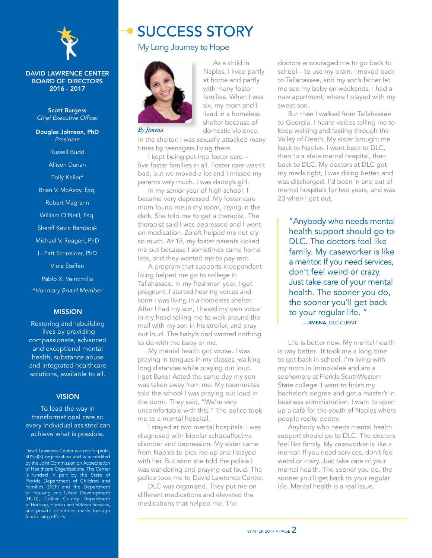

#### DAVID LAWRENCE CENTER BOARD OF DIRECTORS 2016 - 2017

Scott Burgess *Chief Executive Officer*

Douglas Johnson, PhD *President* Russell Budd Allison Durian Polly Keller\* Brian V. McAvoy, Esq. Robert Magrann William O'Neill, Esq. Sheriff Kevin Rambosk Michael V. Reagen, PhD L. Patt Schneider, PhD

Viola Steffan

Pablo X. Veintimilla

\**Honorary Board Member*

#### MISSION

Restoring and rebuilding lives by providing compassionate, advanced and exceptional mental health, substance abuse and integrated healthcare solutions, available to all.

#### **VISION**

To lead the way in transformational care so every individual assisted can achieve what is possible.

David Lawrence Center is a not-for-profit, 501(c)(3) organization and is accredited by the Joint Commission on Accreditation of Healthcare Organizations. The Center is funded in part by the State of Florida Department of Children and Families (DCF) and the Department of Housing and Urban Development (HUD), Collier County Department of Housing, Human and Veteran Services, and private donations made through fundraising efforts.

### SUCCESS STORY

#### My Long Journey to Hope



Naples, I lived partly at home and partly with many foster families. When I was six, my mom and I lived in a homeless shelter because of domestic violence.

As a child in

In the shelter, I was sexually attacked many times by teenagers living there.

I kept being put into foster care – five foster families in all. Foster care wasn't bad, but we moved a lot and I missed my parents very much. I was daddy's girl.

In my senior year of high school, I became very depressed. My foster care mom found me in my room, crying in the dark. She told me to get a therapist. The therapist said I was depressed and I went on medication. Zoloft helped me not cry so much. At 18, my foster parents kicked me out because I sometimes came home late, and they wanted me to pay rent.

A program that supports independent living helped me go to college in Tallahassee. In my freshman year, I got pregnant. I started hearing voices and soon I was living in a homeless shelter. After I had my son, I heard my own voice in my head telling me to walk around the mall with my son in his stroller, and pray out loud. The baby's dad wanted nothing to do with the baby or me.

My mental health got worse. I was praying in tongues in my classes, walking long distances while praying out loud. I got Baker Acted the same day my son was taken away from me. My roommates told the school I was praying out loud in the dorm. They said, "We're very uncomfortable with this." The police took me to a mental hospital.

I stayed at two mental hospitals. I was diagnosed with bipolar schizoaffective disorder and depression. My sister came from Naples to pick me up and I stayed with her. But soon she told the police I was wandering and praying out loud. The police took me to David Lawrence Center.

DLC was organized. They put me on different medications and elevated the medications that helped me. The

doctors encouraged me to go back to school – to use my brain. I moved back to Tallahassee, and my son's father let me see my baby on weekends. I had a new apartment, where I played with my sweet son.

But then I walked from Tallahassee to Georgia. I heard voices telling me to keep walking and fasting through the Valley of Death. My sister brought me back to Naples. I went back to DLC, then to a state mental hospital, then back to DLC. My doctors at DLC got my meds right, I was doing better, and was discharged. I'd been in and out of mental hospitals for two years, and was 23 when I got out.

"Anybody who needs mental health support should go to DLC. The doctors feel like family. My caseworker is like a mentor. If you need services, don't feel weird or crazy. Just take care of your mental health. The sooner you do, the sooner you'll get back to your regular life. " – JIMENA, DLC CLIENT

Life is better now. My mental health is way better. It took me a long time to get back in school. I'm living with my mom in Immokalee and am a sophomore at Florida SouthWestern State college. I want to finish my bachelor's degree and get a master's in business administration. I want to open up a café for the youth of Naples where people recite poetry.

Anybody who needs mental health support should go to DLC. The doctors feel like family. My caseworker is like a mentor. If you need services, don't feel weird or crazy. Just take care of your mental health. The sooner you do, the sooner you'll get back to your regular life. Mental health is a real issue.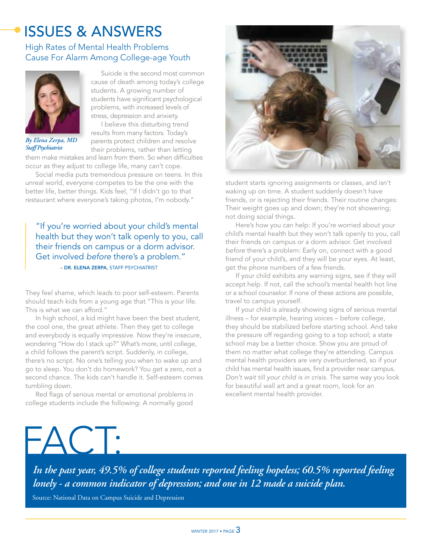# ISSUES & ANSWERS

#### High Rates of Mental Health Problems Cause For Alarm Among College-age Youth



*By Elena Zerpa, MD Staff Psychiatrist*

Suicide is the second most common cause of death among today's college students. A growing number of students have significant psychological problems, with increased levels of stress, depression and anxiety.

I believe this disturbing trend results from many factors. Today's parents protect children and resolve their problems, rather than letting

them make mistakes and learn from them. So when difficulties occur as they adjust to college life, many can't cope.

Social media puts tremendous pressure on teens. In this unreal world, everyone competes to be the one with the better life, better things. Kids feel, "If I didn't go to that restaurant where everyone's taking photos, I'm nobody."

 – DR. ELENA ZERPA, STAFF PSYCHIATRIST "If you're worried about your child's mental health but they won't talk openly to you, call their friends on campus or a dorm advisor. Get involved *before* there's a problem."

They feel shame, which leads to poor self-esteem. Parents should teach kids from a young age that "This is your life.

This is what we can afford." In high school, a kid might have been the best student, the cool one, the great athlete. Then they get to college and everybody is equally impressive. Now they're insecure, wondering "How do I stack up?" What's more, until college, a child follows the parent's script. Suddenly, in college, there's no script. No one's telling you when to wake up and go to sleep. You don't do homework? You get a zero, not a second chance. The kids can't handle it. Self-esteem comes tumbling down.

Red flags of serious mental or emotional problems in college students include the following: A normally good



student starts ignoring assignments or classes, and isn't waking up on time. A student suddenly doesn't have friends, or is rejecting their friends. Their routine changes: Their weight goes up and down; they're not showering; not doing social things.

Here's how you can help: If you're worried about your child's mental health but they won't talk openly to you, call their friends on campus or a dorm advisor. Get involved *before* there's a problem: Early on, connect with a good friend of your child's, and they will be your eyes. At least, get the phone numbers of a few friends.

If your child exhibits any warning signs, see if they will accept help. If not, call the school's mental health hot line or a school counselor. If none of these actions are possible, travel to campus yourself.

If your child is already showing signs of serious mental illness – for example, hearing voices – before college, they should be stabilized before starting school. And take the pressure off regarding going to a top school; a state school may be a better choice. Show you are proud of them no matter what college they're attending. Campus mental health providers are very overburdened, so if your child has mental health issues, find a provider near campus. *Don't wait till your child is in crisis.* The same way you look for beautiful wall art and a great room, look for an excellent mental health provider.

# $-AC$

*In the past year, 49.5% of college students reported feeling hopeless; 60.5% reported feeling lonely - a common indicator of depression; and one in 12 made a suicide plan.*

Source: National Data on Campus Suicide and Depression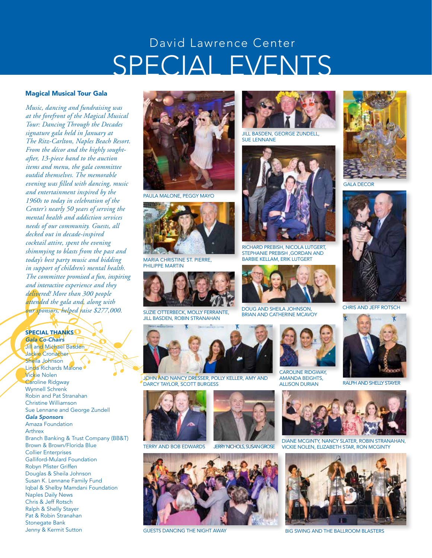# SPECIAL EVENTS David Lawrence Center

#### Magical Musical Tour Gala

*Music, dancing and fundraising was at the forefront of the Magical Musical Tour: Dancing Through the Decades signature gala held in January at The Ritz-Carlton, Naples Beach Resort. From the décor and the highly soughtafter, 13-piece band to the auction items and menu, the gala committee outdid themselves. The memorable evening was filled with dancing, music and entertainment inspired by the 1960s to today in celebration of the Center's nearly 50 years of serving the mental health and addiction services needs of our community. Guests, all decked out in decade-inspired cocktail attire, spent the evening shimmying to blasts from the past and today's best party music and bidding in support of children's mental health. The committee promised a fun, inspiring and interactive experience and they delivered! More than 300 people attended the gala and, along with our sponsors, helped raise \$277,000.*

#### SPECIAL THANKS<sup>C</sup> *Gala Co-Chairs*

Jill and Michael Basden Jackie Cronacher Sheila Johnson Linda Richards Malone Vickie Nolen Caroline Ridgway Wynnell Schrenk Robin and Pat Stranahan Christine Williamson Sue Lennane and George Zundell *Gala Sponsors*  Amaza Foundation Arthrex Branch Banking & Trust Company (BB&T) Brown & Brown/Florida Blue Collier Enterprises Galliford-Mulard Foundation Robyn Pfister Griffen Douglas & Sheila Johnson Susan K. Lennane Family Fund Iqbal & Shelby Mamdani Foundation Naples Daily News Chris & Jeff Rotsch Ralph & Shelly Stayer Pat & Robin Stranahan Stonegate Bank Jenny & Kermit Sutton



PAULA MALONE, PEGGY MAYO



PHILIPPE MARTIN



SUZIE OTTERBECK, MOLLY FERRANTE, JILL BASDEN, ROBIN STRANAHAN



JOHN AND NANCY DRESSER, POLLY KELLER, AMY AND DARCY TAYLOR, SCOTT BURGESS



TERRY AND BOB EDWARDS JERRY NICHOLS, SUSAN GROSE





**JILL BASDEN, GEORGE ZUNDELL** SUE LENNANE



RICHARD PREBISH, NICOLA LUTGERT, STEPHANIE PREBISH ,GORDAN AND MARIA CHRISTINE ST. PIERRE, BARBIE KELLAM, ERIK LUTGERT



DOUG AND SHEILA JOHNSON, BRIAN AND CATHERINE MCAVOY



CAROLINE RIDGWAY AMANDA BEIGHTS, ALLISON DURIAN RALPH AND SHELLY STAYER



GALA DECOR



CHRIS AND JEFF ROTSCH





DIANE MCGINTY, NANCY SLATER, ROBIN STRANAHAN, VICKIE NOLEN, ELIZABETH STAR, RON MCGINTY



GUESTS DANCING THE NIGHT AWAY BIG SWING AND THE BALLROOM BLASTERS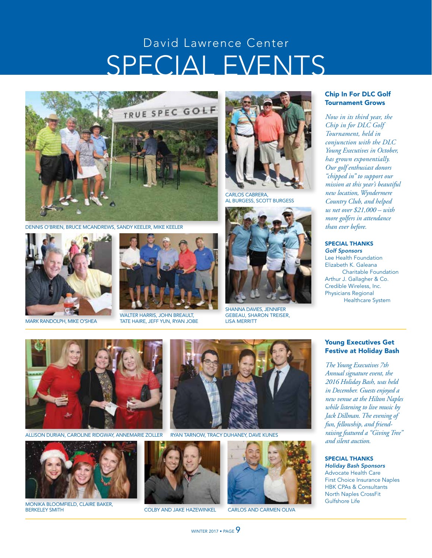# SPECIAL EVENTS David Lawrence Center



DENNIS O'BRIEN, BRUCE MCANDREWS, SANDY KEELER, MIKE KEELER





WALTER HARRIS, JOHN BREAULT, MARK RANDOLPH, MIKE O'SHEA TATE HAIRE, JEFF YUN, RYAN JOBE



CARLOS CABRERA, AL BURGESS, SCOTT BURGESS



SHANNA DAVIES, JENNIFER GEBEAU, SHARON TREISER, LISA MERRITT

#### Chip In For DLC Golf Tournament Grows

*Now in its third year, the Chip in for DLC Golf Tournament, held in conjunction with the DLC Young Executives in October, has grown exponentially. Our golf enthusiast donors "chipped in" to support our mission at this year's beautiful new location, Wyndermere Country Club, and helped us net over \$21,000 – with more golfers in attendance than ever before.*

SPECIAL THANKS *Golf Sponsors*

Lee Health Foundation Elizabeth K. Galeana Charitable Foundation Arthur J. Gallagher & Co. Credible Wireless, Inc. Physicians Regional Healthcare System

#### Young Executives Get Festive at Holiday Bash

*The Young Executives 7th Annual signature event, the 2016 Holiday Bash, was held in December. Guests enjoyed a new venue at the Hilton Naples while listening to live music by Jack Dillman. The evening of fun, fellowship, and friendraising featured a "Giving Tree" and silent auction.*

#### SPECIAL THANKS

*Holiday Bash Sponsors* Advocate Health Care First Choice Insurance Naples HBK CPAs & Consultants North Naples CrossFit Gulfshore Life



ALLISON DURIAN, CAROLINE RIDGWAY, ANNEMARIE ZOLLER



COLBY AND JAKE HAZEWINKEL BERKELEY SMITH CARLOS AND CARMEN OLIVA MONIKA BLOOMFIELD, CLAIRE BAKER,



RYAN TARNOW, TRACY DUHANEY, DAVE KUNES





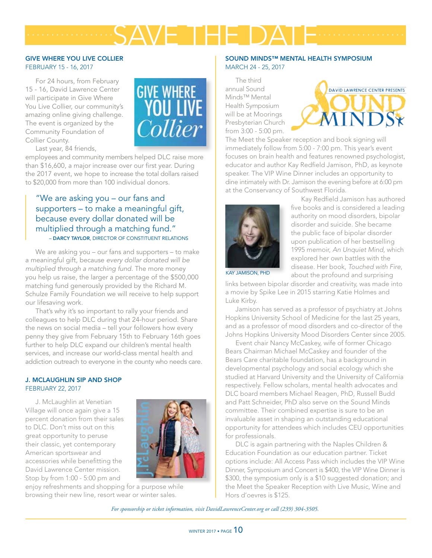#### GIVE WHERE YOU LIVE COLLIER FEBRUARY 15 - 16, 2017

For 24 hours, from February 15 - 16, David Lawrence Center will participate in Give Where You Live Collier, our community's amazing online giving challenge. The event is organized by the Community Foundation of Collier County.



Last year, 84 friends,

employees and community members helped DLC raise more than \$16,600, a major increase over our first year. During the 2017 event, we hope to increase the total dollars raised to \$20,000 from more than 100 individual donors.

#### "We are asking you – our fans and supporters – to make a meaningful gift, because every dollar donated will be multiplied through a matching fund." – DARCY TAYLOR, DIRECTOR OF CONSTITUENT RELATIONS

We are asking you – our fans and supporters – to make a meaningful gift, because *every dollar donated will be multiplied through a matching fund.* The more money you help us raise, the larger a percentage of the \$500,000 matching fund generously provided by the Richard M. Schulze Family Foundation we will receive to help support our lifesaving work.

That's why it's so important to rally your friends and colleagues to help DLC during that 24-hour period. Share the news on social media – tell your followers how every penny they give from February 15th to February 16th goes further to help DLC expand our children's mental health services, and increase our world-class mental health and addiction outreach to everyone in the county who needs care.

#### J. MCLAUGHLIN SIP AND SHOP FEBRUARY 22, 2017

J. McLaughlin at Venetian Village will once again give a 15 percent donation from their sales to DLC. Don't miss out on this great opportunity to peruse their classic, yet contemporary American sportswear and accessories while benefitting the David Lawrence Center mission. Stop by from 1:00 - 5:00 pm and



enjoy refreshments and shopping for a purpose while browsing their new line, resort wear or winter sales.

#### SOUND MINDS™ MENTAL HEALTH SYMPOSIUM MARCH 24 - 25, 2017

The third annual Sound Minds™ Mental Health Symposium will be at Moorings Presbyterian Church from 3:00 - 5:00 pm.

SAVE THE DATE *.................. ..................*



The Meet the Speaker reception and book signing will immediately follow from 5:00 - 7:00 pm. This year's event focuses on brain health and features renowned psychologist, educator and author Kay Redfield Jamison, PhD, as keynote speaker. The VIP Wine Dinner includes an opportunity to dine intimately with Dr. Jamison the evening before at 6:00 pm at the Conservancy of Southwest Florida.



Kay Redfield Jamison has authored five books and is considered a leading authority on mood disorders, bipolar disorder and suicide. She became the public face of bipolar disorder upon publication of her bestselling 1995 memoir, *An Unquiet Mind*, which explored her own battles with the disease. Her book, *Touched with Fire*, about the profound and surprising

KAY JAMISON, PHD

links between bipolar disorder and creativity, was made into a movie by Spike Lee in 2015 starring Katie Holmes and Luke Kirby.

Jamison has served as a professor of psychiatry at Johns Hopkins University School of Medicine for the last 25 years, and as a professor of mood disorders and co-director of the Johns Hopkins University Mood Disorders Center since 2005.

Event chair Nancy McCaskey, wife of former Chicago Bears Chairman Michael McCaskey and founder of the Bears Care charitable foundation, has a background in developmental psychology and social ecology which she studied at Harvard University and the University of California respectively. Fellow scholars, mental health advocates and DLC board members Michael Reagen, PhD, Russell Budd and Patt Schneider, PhD also serve on the Sound Minds committee. Their combined expertise is sure to be an invaluable asset in shaping an outstanding educational opportunity for attendees which includes CEU opportunities for professionals.

DLC is again partnering with the Naples Children & Education Foundation as our education partner. Ticket options include: All Access Pass which includes the VIP Wine Dinner, Symposium and Concert is \$400, the VIP Wine Dinner is \$300, the symposium only is a \$10 suggested donation; and the Meet the Speaker Reception with Live Music, Wine and Hors d'oevres is \$125.

*For sponsorship or ticket information, visit DavidLawrenceCenter.org or call (239) 304-3505.*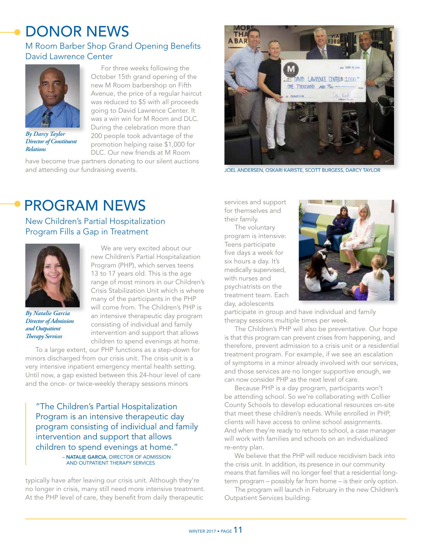# DONOR NEWS

#### M Room Barber Shop Grand Opening Benefits David Lawrence Center



*By Darcy Taylor Director of Constituent Relations*

For three weeks following the October 15th grand opening of the new M Room barbershop on Fifth Avenue, the price of a regular haircut was reduced to \$5 with all proceeds going to David Lawrence Center. It was a win win for M Room and DLC. During the celebration more than 200 people took advantage of the promotion helping raise \$1,000 for DLC. Our new friends at M Room

have become true partners donating to our silent auctions and attending our fundraising events.



JOEL ANDERSEN, OSKARI KARISTE, SCOTT BURGESS, DARCY TAYLOR

# PROGRAM NEWS

New Children's Partial Hospitalization Program Fills a Gap in Treatment



*By Natalie Garcia Director of Admission and Outpatient Therapy Services*

We are very excited about our new Children's Partial Hospitalization Program (PHP), which serves teens 13 to 17 years old. This is the age range of most minors in our Children's Crisis Stabilization Unit which is where many of the participants in the PHP will come from. The Children's PHP is an intensive therapeutic day program consisting of individual and family intervention and support that allows children to spend evenings at home.

To a large extent, our PHP functions as a step-down for minors discharged from our crisis unit. The crisis unit is a very intensive inpatient emergency mental health setting. Until now, a gap existed between this 24-hour level of care and the once- or twice-weekly therapy sessions minors

"The Children's Partial Hospitalization Program is an intensive therapeutic day program consisting of individual and family intervention and support that allows children to spend evenings at home." – NATALIE GARCIA, DIRECTOR OF ADMISSION AND OUTPATIENT THERAPY SERVICES

typically have after leaving our crisis unit. Although they're no longer in crisis, many still need more intensive treatment. At the PHP level of care, they benefit from daily therapeutic

services and support for themselves and their family.

The voluntary program is intensive: Teens participate five days a week for six hours a day. It's medically supervised, with nurses and psychiatrists on the treatment team. Each day, adolescents



participate in group and have individual and family therapy sessions multiple times per week.

The Children's PHP will also be preventative. Our hope is that this program can prevent crises from happening, and therefore, prevent admission to a crisis unit or a residential treatment program. For example, if we see an escalation of symptoms in a minor already involved with our services, and those services are no longer supportive enough, we can now consider PHP as the next level of care.

Because PHP is a day program, participants won't be attending school. So we're collaborating with Collier County Schools to develop educational resources on-site that meet these children's needs. While enrolled in PHP, clients will have access to online school assignments. And when they're ready to return to school, a case manager will work with families and schools on an individualized re-entry plan.

We believe that the PHP will reduce recidivism back into the crisis unit. In addition, its presence in our community means that families will no longer feel that a residential longterm program – possibly far from home – is their only option.

The program will launch in February in the new Children's Outpatient Services building.